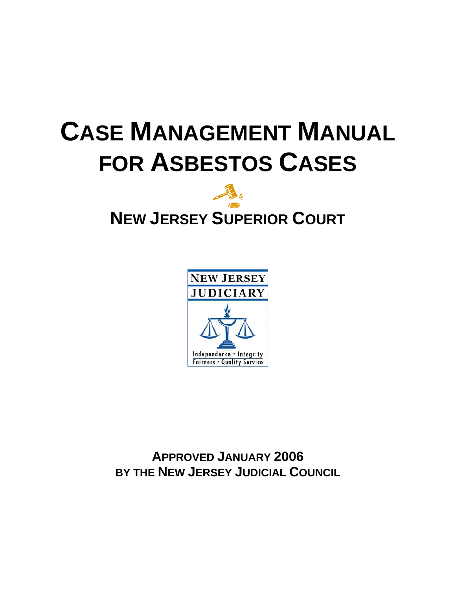# **CASE MANAGEMENT MANUAL FOR ASBESTOS CASES**



## **NEW JERSEY SUPERIOR COURT**



**APPROVED JANUARY 2006 BY THE NEW JERSEY JUDICIAL COUNCIL**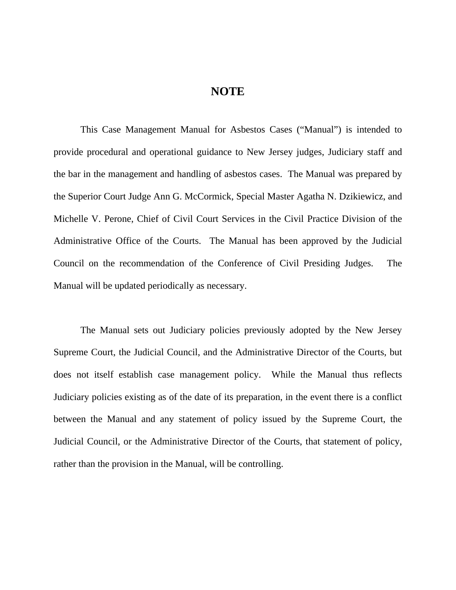#### **NOTE**

This Case Management Manual for Asbestos Cases ("Manual") is intended to provide procedural and operational guidance to New Jersey judges, Judiciary staff and the bar in the management and handling of asbestos cases. The Manual was prepared by the Superior Court Judge Ann G. McCormick, Special Master Agatha N. Dzikiewicz, and Michelle V. Perone, Chief of Civil Court Services in the Civil Practice Division of the Administrative Office of the Courts. The Manual has been approved by the Judicial Council on the recommendation of the Conference of Civil Presiding Judges. The Manual will be updated periodically as necessary.

The Manual sets out Judiciary policies previously adopted by the New Jersey Supreme Court, the Judicial Council, and the Administrative Director of the Courts, but does not itself establish case management policy. While the Manual thus reflects Judiciary policies existing as of the date of its preparation, in the event there is a conflict between the Manual and any statement of policy issued by the Supreme Court, the Judicial Council, or the Administrative Director of the Courts, that statement of policy, rather than the provision in the Manual, will be controlling.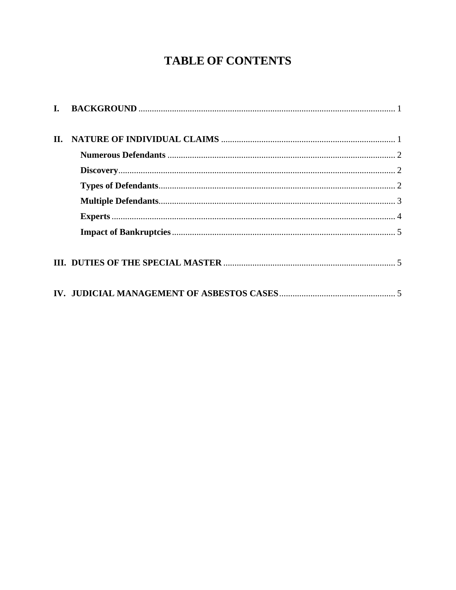### **TABLE OF CONTENTS**

| П. |  |
|----|--|
|    |  |
|    |  |
|    |  |
|    |  |
|    |  |
|    |  |
|    |  |
|    |  |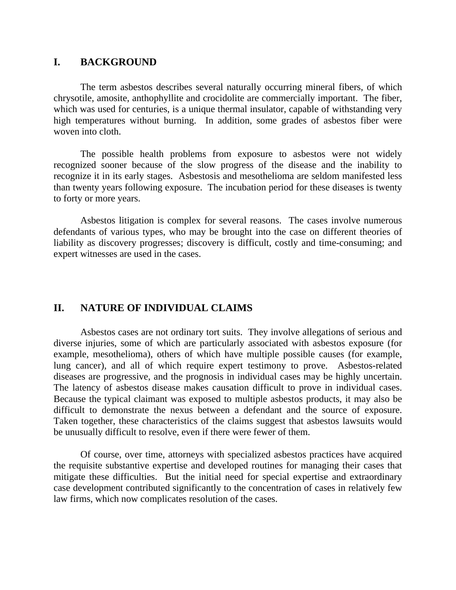#### <span id="page-3-0"></span>**I. BACKGROUND**

The term asbestos describes several naturally occurring mineral fibers, of which chrysotile, amosite, anthophyllite and crocidolite are commercially important. The fiber, which was used for centuries, is a unique thermal insulator, capable of withstanding very high temperatures without burning. In addition, some grades of asbestos fiber were woven into cloth.

 The possible health problems from exposure to asbestos were not widely recognized sooner because of the slow progress of the disease and the inability to recognize it in its early stages. Asbestosis and mesothelioma are seldom manifested less than twenty years following exposure. The incubation period for these diseases is twenty to forty or more years.

 Asbestos litigation is complex for several reasons. The cases involve numerous defendants of various types, who may be brought into the case on different theories of liability as discovery progresses; discovery is difficult, costly and time-consuming; and expert witnesses are used in the cases.

#### **II. NATURE OF INDIVIDUAL CLAIMS**

 Asbestos cases are not ordinary tort suits. They involve allegations of serious and diverse injuries, some of which are particularly associated with asbestos exposure (for example, mesothelioma), others of which have multiple possible causes (for example, lung cancer), and all of which require expert testimony to prove. Asbestos-related diseases are progressive, and the prognosis in individual cases may be highly uncertain. The latency of asbestos disease makes causation difficult to prove in individual cases. Because the typical claimant was exposed to multiple asbestos products, it may also be difficult to demonstrate the nexus between a defendant and the source of exposure. Taken together, these characteristics of the claims suggest that asbestos lawsuits would be unusually difficult to resolve, even if there were fewer of them.

 Of course, over time, attorneys with specialized asbestos practices have acquired the requisite substantive expertise and developed routines for managing their cases that mitigate these difficulties. But the initial need for special expertise and extraordinary case development contributed significantly to the concentration of cases in relatively few law firms, which now complicates resolution of the cases.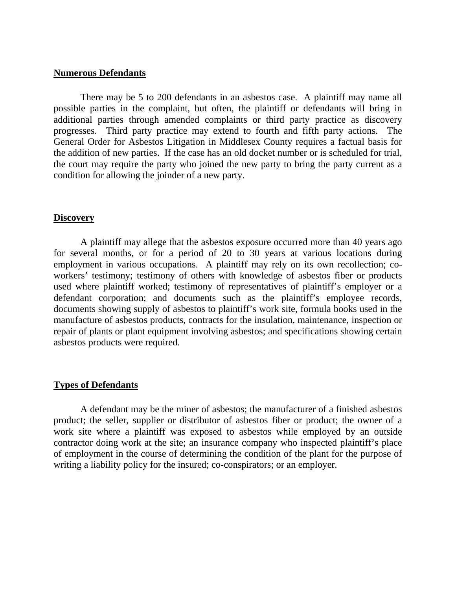#### <span id="page-4-0"></span>**Numerous Defendants**

 There may be 5 to 200 defendants in an asbestos case. A plaintiff may name all possible parties in the complaint, but often, the plaintiff or defendants will bring in additional parties through amended complaints or third party practice as discovery progresses. Third party practice may extend to fourth and fifth party actions. The General Order for Asbestos Litigation in Middlesex County requires a factual basis for the addition of new parties. If the case has an old docket number or is scheduled for trial, the court may require the party who joined the new party to bring the party current as a condition for allowing the joinder of a new party.

#### **Discovery**

 A plaintiff may allege that the asbestos exposure occurred more than 40 years ago for several months, or for a period of 20 to 30 years at various locations during employment in various occupations. A plaintiff may rely on its own recollection; coworkers' testimony; testimony of others with knowledge of asbestos fiber or products used where plaintiff worked; testimony of representatives of plaintiff's employer or a defendant corporation; and documents such as the plaintiff's employee records, documents showing supply of asbestos to plaintiff's work site, formula books used in the manufacture of asbestos products, contracts for the insulation, maintenance, inspection or repair of plants or plant equipment involving asbestos; and specifications showing certain asbestos products were required.

#### **Types of Defendants**

 A defendant may be the miner of asbestos; the manufacturer of a finished asbestos product; the seller, supplier or distributor of asbestos fiber or product; the owner of a work site where a plaintiff was exposed to asbestos while employed by an outside contractor doing work at the site; an insurance company who inspected plaintiff's place of employment in the course of determining the condition of the plant for the purpose of writing a liability policy for the insured; co-conspirators; or an employer.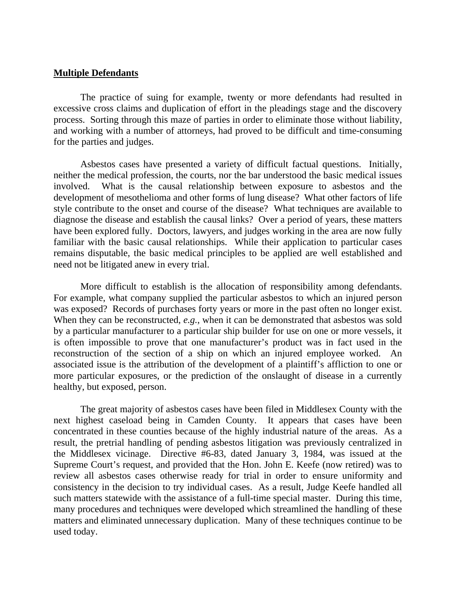#### <span id="page-5-0"></span>**Multiple Defendants**

 The practice of suing for example, twenty or more defendants had resulted in excessive cross claims and duplication of effort in the pleadings stage and the discovery process. Sorting through this maze of parties in order to eliminate those without liability, and working with a number of attorneys, had proved to be difficult and time-consuming for the parties and judges.

 Asbestos cases have presented a variety of difficult factual questions. Initially, neither the medical profession, the courts, nor the bar understood the basic medical issues involved. What is the causal relationship between exposure to asbestos and the development of mesothelioma and other forms of lung disease? What other factors of life style contribute to the onset and course of the disease? What techniques are available to diagnose the disease and establish the causal links? Over a period of years, these matters have been explored fully. Doctors, lawyers, and judges working in the area are now fully familiar with the basic causal relationships. While their application to particular cases remains disputable, the basic medical principles to be applied are well established and need not be litigated anew in every trial.

 More difficult to establish is the allocation of responsibility among defendants. For example, what company supplied the particular asbestos to which an injured person was exposed? Records of purchases forty years or more in the past often no longer exist. When they can be reconstructed, *e.g.*, when it can be demonstrated that asbestos was sold by a particular manufacturer to a particular ship builder for use on one or more vessels, it is often impossible to prove that one manufacturer's product was in fact used in the reconstruction of the section of a ship on which an injured employee worked. An associated issue is the attribution of the development of a plaintiff's affliction to one or more particular exposures, or the prediction of the onslaught of disease in a currently healthy, but exposed, person.

 The great majority of asbestos cases have been filed in Middlesex County with the next highest caseload being in Camden County. It appears that cases have been concentrated in these counties because of the highly industrial nature of the areas. As a result, the pretrial handling of pending asbestos litigation was previously centralized in the Middlesex vicinage. Directive #6-83, dated January 3, 1984, was issued at the Supreme Court's request, and provided that the Hon. John E. Keefe (now retired) was to review all asbestos cases otherwise ready for trial in order to ensure uniformity and consistency in the decision to try individual cases. As a result, Judge Keefe handled all such matters statewide with the assistance of a full-time special master. During this time, many procedures and techniques were developed which streamlined the handling of these matters and eliminated unnecessary duplication. Many of these techniques continue to be used today.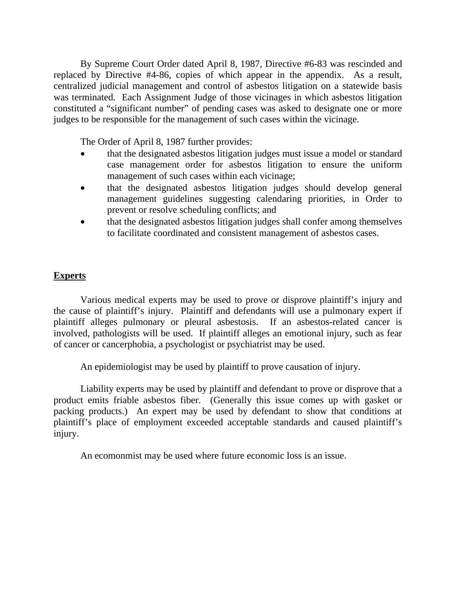<span id="page-6-0"></span> By Supreme Court Order dated April 8, 1987, Directive #6-83 was rescinded and replaced by Directive #4-86, copies of which appear in the appendix. As a result, centralized judicial management and control of asbestos litigation on a statewide basis was terminated. Each Assignment Judge of those vicinages in which asbestos litigation constituted a "significant number" of pending cases was asked to designate one or more judges to be responsible for the management of such cases within the vicinage.

The Order of April 8, 1987 further provides:

- that the designated asbestos litigation judges must issue a model or standard case management order for asbestos litigation to ensure the uniform management of such cases within each vicinage;
- that the designated asbestos litigation judges should develop general management guidelines suggesting calendaring priorities, in Order to prevent or resolve scheduling conflicts; and
- that the designated asbestos litigation judges shall confer among themselves to facilitate coordinated and consistent management of asbestos cases.

#### **Experts**

 Various medical experts may be used to prove or disprove plaintiff's injury and the cause of plaintiff's injury. Plaintiff and defendants will use a pulmonary expert if plaintiff alleges pulmonary or pleural asbestosis. If an asbestos-related cancer is involved, pathologists will be used. If plaintiff alleges an emotional injury, such as fear of cancer or cancerphobia, a psychologist or psychiatrist may be used.

An epidemiologist may be used by plaintiff to prove causation of injury.

 Liability experts may be used by plaintiff and defendant to prove or disprove that a product emits friable asbestos fiber. (Generally this issue comes up with gasket or packing products.) An expert may be used by defendant to show that conditions at plaintiff's place of employment exceeded acceptable standards and caused plaintiff's injury.

An ecomonmist may be used where future economic loss is an issue.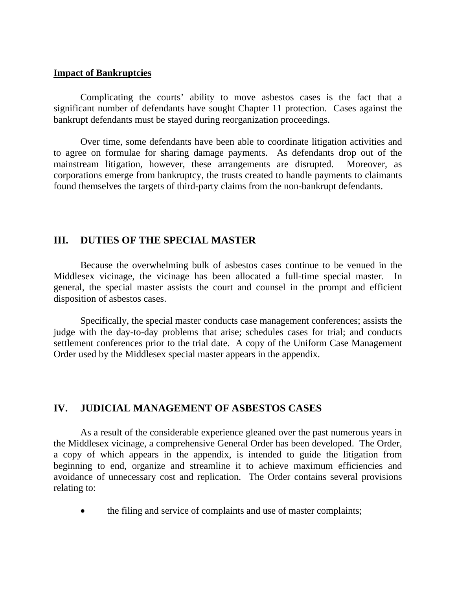#### <span id="page-7-0"></span>**Impact of Bankruptcies**

 Complicating the courts' ability to move asbestos cases is the fact that a significant number of defendants have sought Chapter 11 protection. Cases against the bankrupt defendants must be stayed during reorganization proceedings.

 Over time, some defendants have been able to coordinate litigation activities and to agree on formulae for sharing damage payments. As defendants drop out of the mainstream litigation, however, these arrangements are disrupted. Moreover, as corporations emerge from bankruptcy, the trusts created to handle payments to claimants found themselves the targets of third-party claims from the non-bankrupt defendants.

#### **III. DUTIES OF THE SPECIAL MASTER**

 Because the overwhelming bulk of asbestos cases continue to be venued in the Middlesex vicinage, the vicinage has been allocated a full-time special master. In general, the special master assists the court and counsel in the prompt and efficient disposition of asbestos cases.

 Specifically, the special master conducts case management conferences; assists the judge with the day-to-day problems that arise; schedules cases for trial; and conducts settlement conferences prior to the trial date. A copy of the Uniform Case Management Order used by the Middlesex special master appears in the appendix.

#### **IV. JUDICIAL MANAGEMENT OF ASBESTOS CASES**

 As a result of the considerable experience gleaned over the past numerous years in the Middlesex vicinage, a comprehensive General Order has been developed. The Order, a copy of which appears in the appendix, is intended to guide the litigation from beginning to end, organize and streamline it to achieve maximum efficiencies and avoidance of unnecessary cost and replication. The Order contains several provisions relating to:

• the filing and service of complaints and use of master complaints;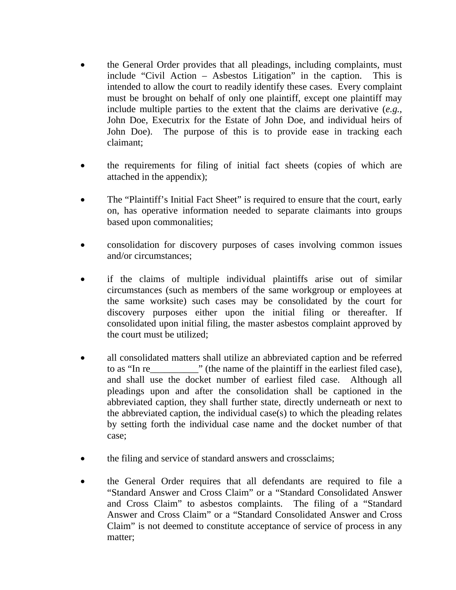- the General Order provides that all pleadings, including complaints, must include "Civil Action – Asbestos Litigation" in the caption. This is intended to allow the court to readily identify these cases. Every complaint must be brought on behalf of only one plaintiff, except one plaintiff may include multiple parties to the extent that the claims are derivative (*e.g.*, John Doe, Executrix for the Estate of John Doe, and individual heirs of John Doe). The purpose of this is to provide ease in tracking each claimant;
- the requirements for filing of initial fact sheets (copies of which are attached in the appendix);
- The "Plaintiff's Initial Fact Sheet" is required to ensure that the court, early on, has operative information needed to separate claimants into groups based upon commonalities;
- consolidation for discovery purposes of cases involving common issues and/or circumstances;
- if the claims of multiple individual plaintiffs arise out of similar circumstances (such as members of the same workgroup or employees at the same worksite) such cases may be consolidated by the court for discovery purposes either upon the initial filing or thereafter. If consolidated upon initial filing, the master asbestos complaint approved by the court must be utilized;
- all consolidated matters shall utilize an abbreviated caption and be referred to as "In re\_\_\_\_\_\_\_\_\_\_" (the name of the plaintiff in the earliest filed case), and shall use the docket number of earliest filed case. Although all pleadings upon and after the consolidation shall be captioned in the abbreviated caption, they shall further state, directly underneath or next to the abbreviated caption, the individual case(s) to which the pleading relates by setting forth the individual case name and the docket number of that case;
- the filing and service of standard answers and crossclaims;
- the General Order requires that all defendants are required to file a "Standard Answer and Cross Claim" or a "Standard Consolidated Answer and Cross Claim" to asbestos complaints. The filing of a "Standard Answer and Cross Claim" or a "Standard Consolidated Answer and Cross Claim" is not deemed to constitute acceptance of service of process in any matter;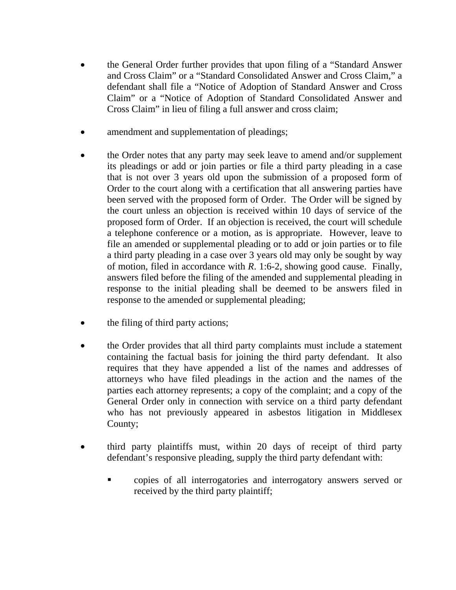- the General Order further provides that upon filing of a "Standard Answer and Cross Claim" or a "Standard Consolidated Answer and Cross Claim," a defendant shall file a "Notice of Adoption of Standard Answer and Cross Claim" or a "Notice of Adoption of Standard Consolidated Answer and Cross Claim" in lieu of filing a full answer and cross claim;
- amendment and supplementation of pleadings;
- the Order notes that any party may seek leave to amend and/or supplement its pleadings or add or join parties or file a third party pleading in a case that is not over 3 years old upon the submission of a proposed form of Order to the court along with a certification that all answering parties have been served with the proposed form of Order. The Order will be signed by the court unless an objection is received within 10 days of service of the proposed form of Order. If an objection is received, the court will schedule a telephone conference or a motion, as is appropriate. However, leave to file an amended or supplemental pleading or to add or join parties or to file a third party pleading in a case over 3 years old may only be sought by way of motion, filed in accordance with *R*. 1:6-2, showing good cause. Finally, answers filed before the filing of the amended and supplemental pleading in response to the initial pleading shall be deemed to be answers filed in response to the amended or supplemental pleading;
- the filing of third party actions;
- the Order provides that all third party complaints must include a statement containing the factual basis for joining the third party defendant. It also requires that they have appended a list of the names and addresses of attorneys who have filed pleadings in the action and the names of the parties each attorney represents; a copy of the complaint; and a copy of the General Order only in connection with service on a third party defendant who has not previously appeared in asbestos litigation in Middlesex County;
- third party plaintiffs must, within 20 days of receipt of third party defendant's responsive pleading, supply the third party defendant with:
	- copies of all interrogatories and interrogatory answers served or received by the third party plaintiff;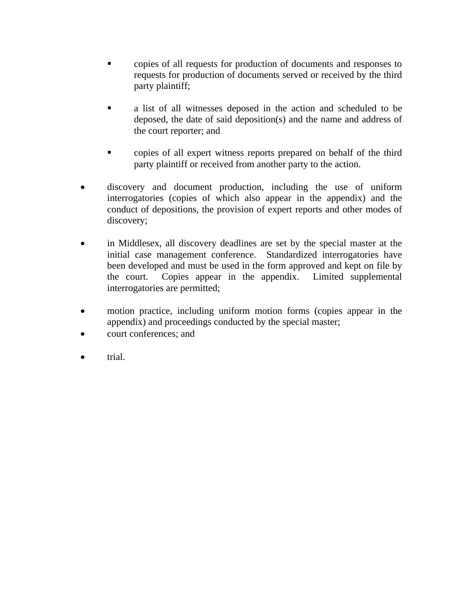- copies of all requests for production of documents and responses to requests for production of documents served or received by the third party plaintiff;
- a list of all witnesses deposed in the action and scheduled to be deposed, the date of said deposition(s) and the name and address of the court reporter; and
- copies of all expert witness reports prepared on behalf of the third party plaintiff or received from another party to the action.
- discovery and document production, including the use of uniform interrogatories (copies of which also appear in the appendix) and the conduct of depositions, the provision of expert reports and other modes of discovery;
- in Middlesex, all discovery deadlines are set by the special master at the initial case management conference. Standardized interrogatories have been developed and must be used in the form approved and kept on file by the court. Copies appear in the appendix. Limited supplemental interrogatories are permitted;
- motion practice, including uniform motion forms (copies appear in the appendix) and proceedings conducted by the special master;
- court conferences; and
- trial.